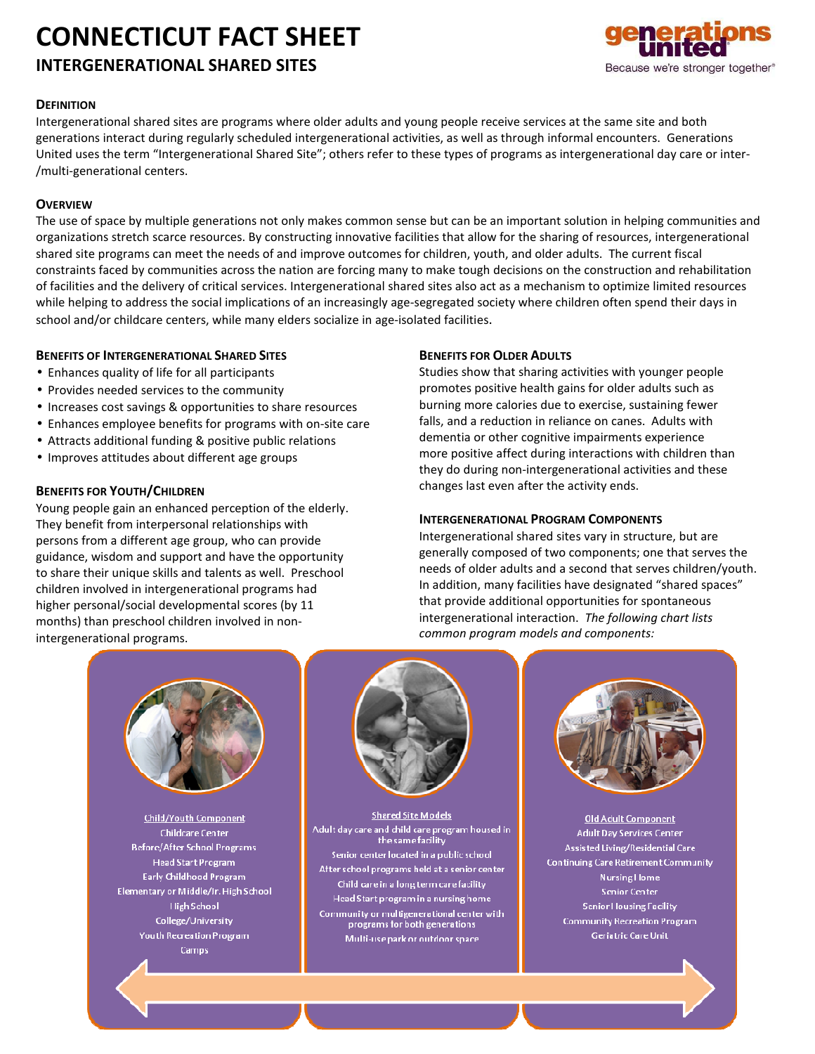# **CONNECTICUT FACT SHEET**

#### **INTERGENERATIONAL SHARED SITES**



#### **DEFINITION**

Intergenerational shared sites are programs where older adults and young people receive services at the same site and both generations interact during regularly scheduled intergenerational activities, as well as through informal encounters. Generations United uses the term "Intergenerational Shared Site"; others refer to these types of programs as intergenerational day care or inter- /multi-generational centers.

#### **OVERVIEW**

The use of space by multiple generations not only makes common sense but can be an important solution in helping communities and organizations stretch scarce resources. By constructing innovative facilities that allow for the sharing of resources, intergenerational shared site programs can meet the needs of and improve outcomes for children, youth, and older adults. The current fiscal constraints faced by communities across the nation are forcing many to make tough decisions on the construction and rehabilitation of facilities and the delivery of critical services. Intergenerational shared sites also act as a mechanism to optimize limited resources while helping to address the social implications of an increasingly age-segregated society where children often spend their days in school and/or childcare centers, while many elders socialize in age-isolated facilities.

#### **BENEFITS OF INTERGENERATIONAL SHARED SITES**

- Enhances quality of life for all participants
- Provides needed services to the community
- Increases cost savings & opportunities to share resources
- Enhances employee benefits for programs with on-site care
- Attracts additional funding & positive public relations
- Improves attitudes about different age groups

#### **BENEFITS FOR YOUTH/CHILDREN**

Young people gain an enhanced perception of the elderly. They benefit from interpersonal relationships with persons from a different age group, who can provide guidance, wisdom and support and have the opportunity to share their unique skills and talents as well. Preschool children involved in intergenerational programs had higher personal/social developmental scores (by 11 months) than preschool children involved in nonintergenerational programs.

#### **BENEFITS FOR OLDER ADULTS**

Studies show that sharing activities with younger people promotes positive health gains for older adults such as burning more calories due to exercise, sustaining fewer falls, and a reduction in reliance on canes. Adults with dementia or other cognitive impairments experience more positive affect during interactions with children than they do during non-intergenerational activities and these changes last even after the activity ends.

#### **INTERGENERATIONAL PROGRAM COMPONENTS**

Intergenerational shared sites vary in structure, but are generally composed of two components; one that serves the needs of older adults and a second that serves children/youth. In addition, many facilities have designated "shared spaces" that provide additional opportunities for spontaneous intergenerational interaction. *The following chart lists common program models and components:* 



**Child/Youth Component** Childcare Center **Before/After School Programs Head Start Program** Early Childhood Program Elementary or Middle/Ir. High School **High School** College/University Youth Recreation Program **Camps** 



Shared Site Models Adult day care and child care program housed in the same facility Senior center located in a public school After school programs held at a senior center Child care in a long term care facility Head Start program in a nursing home Community or multigenerational center with programs for both generations Multi-use park or outdoor space



**Old Adult Component Adult Day Services Center** Assisted Living/Residential Care **Continuing Care Retirement Community Nursing Home** Senior Center **Senior Housing Facility Community Recreation Program Geriatric Care Unit** 

Phone: (202) 289-3979 - Fax: (202) 289-3952  $E_{\rm eff} = 1.0$